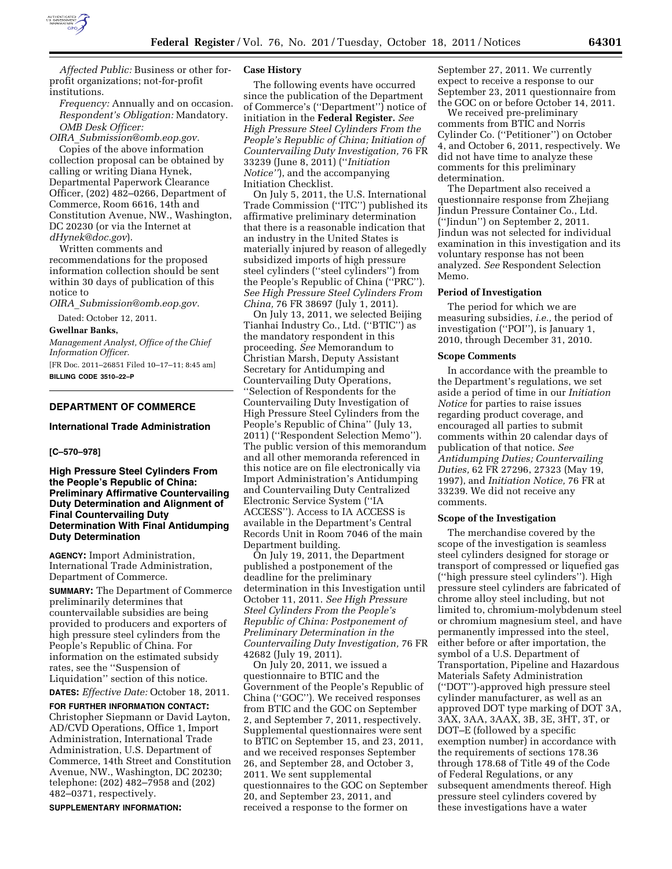

*Affected Public:* Business or other forprofit organizations; not-for-profit institutions.

*Frequency:* Annually and on occasion. *Respondent's Obligation:* Mandatory. *OMB Desk Officer:* 

*OIRA*\_*[Submission@omb.eop.gov.](mailto:OIRA_Submission@omb.eop.gov)*  Copies of the above information

collection proposal can be obtained by calling or writing Diana Hynek, Departmental Paperwork Clearance Officer, (202) 482–0266, Department of Commerce, Room 6616, 14th and Constitution Avenue, NW., Washington, DC 20230 (or via the Internet at *[dHynek@doc.gov](mailto:dHynek@doc.gov)*).

Written comments and recommendations for the proposed information collection should be sent within 30 days of publication of this notice to

*OIRA*\_*[Submission@omb.eop.gov.](mailto:OIRA_Submission@omb.eop.gov)* 

Dated: October 12, 2011.

### **Gwellnar Banks,**

*Management Analyst, Office of the Chief Information Officer.* 

[FR Doc. 2011–26851 Filed 10–17–11; 8:45 am] **BILLING CODE 3510–22–P** 

#### **DEPARTMENT OF COMMERCE**

## **International Trade Administration**

#### **[C–570–978]**

**High Pressure Steel Cylinders From the People's Republic of China: Preliminary Affirmative Countervailing Duty Determination and Alignment of Final Countervailing Duty Determination With Final Antidumping Duty Determination** 

**AGENCY:** Import Administration, International Trade Administration, Department of Commerce.

**SUMMARY:** The Department of Commerce preliminarily determines that countervailable subsidies are being provided to producers and exporters of high pressure steel cylinders from the People's Republic of China. For information on the estimated subsidy rates, see the ''Suspension of Liquidation'' section of this notice.

**DATES:** *Effective Date:* October 18, 2011.

**FOR FURTHER INFORMATION CONTACT:**  Christopher Siepmann or David Layton, AD/CVD Operations, Office 1, Import Administration, International Trade Administration, U.S. Department of Commerce, 14th Street and Constitution Avenue, NW., Washington, DC 20230; telephone: (202) 482–7958 and (202) 482–0371, respectively.

**SUPPLEMENTARY INFORMATION:** 

### **Case History**

The following events have occurred since the publication of the Department of Commerce's (''Department'') notice of initiation in the **Federal Register.** *See High Pressure Steel Cylinders From the People's Republic of China; Initiation of Countervailing Duty Investigation,* 76 FR 33239 (June 8, 2011) (''*Initiation Notice''*), and the accompanying Initiation Checklist.

On July 5, 2011, the U.S. International Trade Commission (''ITC'') published its affirmative preliminary determination that there is a reasonable indication that an industry in the United States is materially injured by reason of allegedly subsidized imports of high pressure steel cylinders (''steel cylinders'') from the People's Republic of China (''PRC''). *See High Pressure Steel Cylinders From China,* 76 FR 38697 (July 1, 2011).

On July 13, 2011, we selected Beijing Tianhai Industry Co., Ltd. (''BTIC'') as the mandatory respondent in this proceeding. *See* Memorandum to Christian Marsh, Deputy Assistant Secretary for Antidumping and Countervailing Duty Operations, ''Selection of Respondents for the Countervailing Duty Investigation of High Pressure Steel Cylinders from the People's Republic of China'' (July 13, 2011) (''Respondent Selection Memo''). The public version of this memorandum and all other memoranda referenced in this notice are on file electronically via Import Administration's Antidumping and Countervailing Duty Centralized Electronic Service System (''IA ACCESS''). Access to IA ACCESS is available in the Department's Central Records Unit in Room 7046 of the main Department building.

On July 19, 2011, the Department published a postponement of the deadline for the preliminary determination in this Investigation until October 11, 2011. *See High Pressure Steel Cylinders From the People's Republic of China: Postponement of Preliminary Determination in the Countervailing Duty Investigation,* 76 FR 42682 (July 19, 2011).

On July 20, 2011, we issued a questionnaire to BTIC and the Government of the People's Republic of China (''GOC''). We received responses from BTIC and the GOC on September 2, and September 7, 2011, respectively. Supplemental questionnaires were sent to BTIC on September 15, and 23, 2011, and we received responses September 26, and September 28, and October 3, 2011. We sent supplemental questionnaires to the GOC on September 20, and September 23, 2011, and received a response to the former on

September 27, 2011. We currently expect to receive a response to our September 23, 2011 questionnaire from the GOC on or before October 14, 2011.

We received pre-preliminary comments from BTIC and Norris Cylinder Co. (''Petitioner'') on October 4, and October 6, 2011, respectively. We did not have time to analyze these comments for this preliminary determination.

The Department also received a questionnaire response from Zhejiang Jindun Pressure Container Co., Ltd. (''Jindun'') on September 2, 2011. Jindun was not selected for individual examination in this investigation and its voluntary response has not been analyzed. *See* Respondent Selection Memo.

#### **Period of Investigation**

The period for which we are measuring subsidies, *i.e.,* the period of investigation (''POI''), is January 1, 2010, through December 31, 2010.

#### **Scope Comments**

In accordance with the preamble to the Department's regulations, we set aside a period of time in our *Initiation Notice* for parties to raise issues regarding product coverage, and encouraged all parties to submit comments within 20 calendar days of publication of that notice. *See Antidumping Duties; Countervailing Duties,* 62 FR 27296, 27323 (May 19, 1997), and *Initiation Notice,* 76 FR at 33239. We did not receive any comments.

### **Scope of the Investigation**

The merchandise covered by the scope of the investigation is seamless steel cylinders designed for storage or transport of compressed or liquefied gas (''high pressure steel cylinders''). High pressure steel cylinders are fabricated of chrome alloy steel including, but not limited to, chromium-molybdenum steel or chromium magnesium steel, and have permanently impressed into the steel, either before or after importation, the symbol of a U.S. Department of Transportation, Pipeline and Hazardous Materials Safety Administration (''DOT'')-approved high pressure steel cylinder manufacturer, as well as an approved DOT type marking of DOT 3A, 3AX, 3AA, 3AAX, 3B, 3E, 3HT, 3T, or DOT–E (followed by a specific exemption number) in accordance with the requirements of sections 178.36 through 178.68 of Title 49 of the Code of Federal Regulations, or any subsequent amendments thereof. High pressure steel cylinders covered by these investigations have a water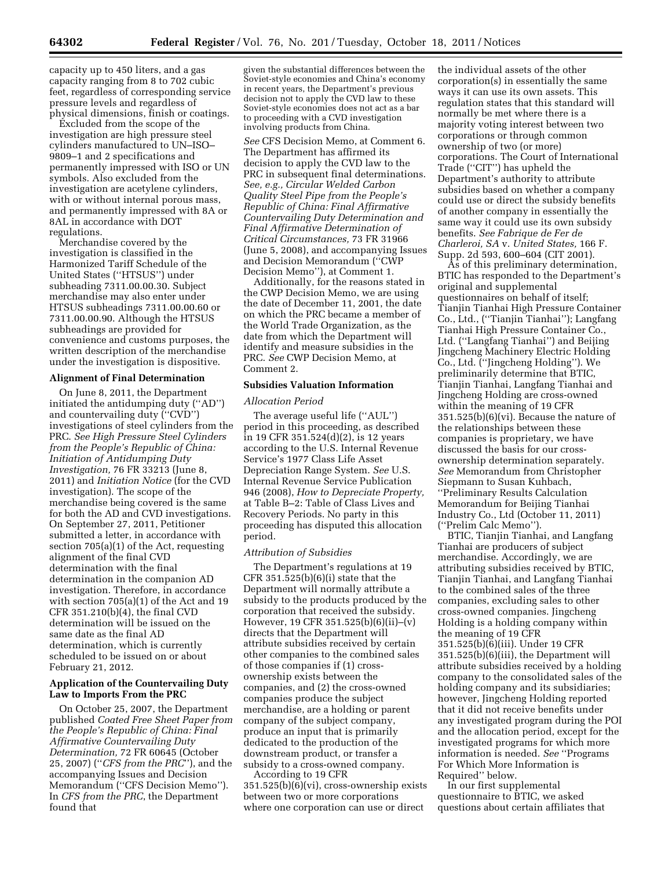capacity up to 450 liters, and a gas capacity ranging from 8 to 702 cubic feet, regardless of corresponding service pressure levels and regardless of physical dimensions, finish or coatings.

Excluded from the scope of the investigation are high pressure steel cylinders manufactured to UN–ISO– 9809–1 and 2 specifications and permanently impressed with ISO or UN symbols. Also excluded from the investigation are acetylene cylinders, with or without internal porous mass, and permanently impressed with 8A or 8AL in accordance with DOT regulations.

Merchandise covered by the investigation is classified in the Harmonized Tariff Schedule of the United States (''HTSUS'') under subheading 7311.00.00.30. Subject merchandise may also enter under HTSUS subheadings 7311.00.00.60 or 7311.00.00.90. Although the HTSUS subheadings are provided for convenience and customs purposes, the written description of the merchandise under the investigation is dispositive.

## **Alignment of Final Determination**

On June 8, 2011, the Department initiated the antidumping duty (''AD'') and countervailing duty (''CVD'') investigations of steel cylinders from the PRC. *See High Pressure Steel Cylinders from the People's Republic of China: Initiation of Antidumping Duty Investigation,* 76 FR 33213 (June 8, 2011) and *Initiation Notice* (for the CVD investigation). The scope of the merchandise being covered is the same for both the AD and CVD investigations. On September 27, 2011, Petitioner submitted a letter, in accordance with section 705(a)(1) of the Act, requesting alignment of the final CVD determination with the final determination in the companion AD investigation. Therefore, in accordance with section 705(a)(1) of the Act and 19 CFR 351.210(b)(4), the final CVD determination will be issued on the same date as the final AD determination, which is currently scheduled to be issued on or about February 21, 2012.

## **Application of the Countervailing Duty Law to Imports From the PRC**

On October 25, 2007, the Department published *Coated Free Sheet Paper from the People's Republic of China: Final Affirmative Countervailing Duty Determination,* 72 FR 60645 (October 25, 2007) (''*CFS from the PRC*''), and the accompanying Issues and Decision Memorandum (''CFS Decision Memo''). In *CFS from the PRC*, the Department found that

given the substantial differences between the Soviet-style economies and China's economy in recent years, the Department's previous decision not to apply the CVD law to these Soviet-style economies does not act as a bar to proceeding with a CVD investigation involving products from China.

*See* CFS Decision Memo, at Comment 6. The Department has affirmed its decision to apply the CVD law to the PRC in subsequent final determinations. *See, e.g., Circular Welded Carbon Quality Steel Pipe from the People's Republic of China: Final Affirmative Countervailing Duty Determination and Final Affirmative Determination of Critical Circumstances,* 73 FR 31966 (June 5, 2008), and accompanying Issues and Decision Memorandum (''CWP Decision Memo''), at Comment 1.

Additionally, for the reasons stated in the CWP Decision Memo, we are using the date of December 11, 2001, the date on which the PRC became a member of the World Trade Organization, as the date from which the Department will identify and measure subsidies in the PRC. *See* CWP Decision Memo, at Comment 2.

## **Subsidies Valuation Information**

### *Allocation Period*

The average useful life (''AUL'') period in this proceeding, as described in 19 CFR 351.524(d)(2), is 12 years according to the U.S. Internal Revenue Service's 1977 Class Life Asset Depreciation Range System. *See* U.S. Internal Revenue Service Publication 946 (2008), *How to Depreciate Property,*  at Table B–2: Table of Class Lives and Recovery Periods. No party in this proceeding has disputed this allocation period.

#### *Attribution of Subsidies*

The Department's regulations at 19 CFR 351.525(b)(6)(i) state that the Department will normally attribute a subsidy to the products produced by the corporation that received the subsidy. However, 19 CFR 351.525(b)(6)(ii)–(v) directs that the Department will attribute subsidies received by certain other companies to the combined sales of those companies if (1) crossownership exists between the companies, and (2) the cross-owned companies produce the subject merchandise, are a holding or parent company of the subject company, produce an input that is primarily dedicated to the production of the downstream product, or transfer a subsidy to a cross-owned company.

According to 19 CFR 351.525(b)(6)(vi), cross-ownership exists between two or more corporations where one corporation can use or direct

the individual assets of the other corporation(s) in essentially the same ways it can use its own assets. This regulation states that this standard will normally be met where there is a majority voting interest between two corporations or through common ownership of two (or more) corporations. The Court of International Trade (''CIT'') has upheld the Department's authority to attribute subsidies based on whether a company could use or direct the subsidy benefits of another company in essentially the same way it could use its own subsidy benefits. *See Fabrique de Fer de Charleroi, SA* v. *United States,* 166 F. Supp. 2d 593, 600–604 (CIT 2001).

As of this preliminary determination, BTIC has responded to the Department's original and supplemental questionnaires on behalf of itself; Tianjin Tianhai High Pressure Container Co., Ltd., (''Tianjin Tianhai''); Langfang Tianhai High Pressure Container Co., Ltd. (''Langfang Tianhai'') and Beijing Jingcheng Machinery Electric Holding Co., Ltd. (''Jingcheng Holding''). We preliminarily determine that BTIC, Tianjin Tianhai, Langfang Tianhai and Jingcheng Holding are cross-owned within the meaning of 19 CFR 351.525(b)(6)(vi). Because the nature of the relationships between these companies is proprietary, we have discussed the basis for our crossownership determination separately. *See* Memorandum from Christopher Siepmann to Susan Kuhbach, ''Preliminary Results Calculation Memorandum for Beijing Tianhai Industry Co., Ltd (October 11, 2011) (''Prelim Calc Memo'').

BTIC, Tianjin Tianhai, and Langfang Tianhai are producers of subject merchandise. Accordingly, we are attributing subsidies received by BTIC, Tianjin Tianhai, and Langfang Tianhai to the combined sales of the three companies, excluding sales to other cross-owned companies. Jingcheng Holding is a holding company within the meaning of 19 CFR 351.525(b)(6)(iii). Under 19 CFR 351.525(b)(6)(iii), the Department will attribute subsidies received by a holding company to the consolidated sales of the holding company and its subsidiaries; however, Jingcheng Holding reported that it did not receive benefits under any investigated program during the POI and the allocation period, except for the investigated programs for which more information is needed. *See* ''Programs For Which More Information is Required'' below.

In our first supplemental questionnaire to BTIC, we asked questions about certain affiliates that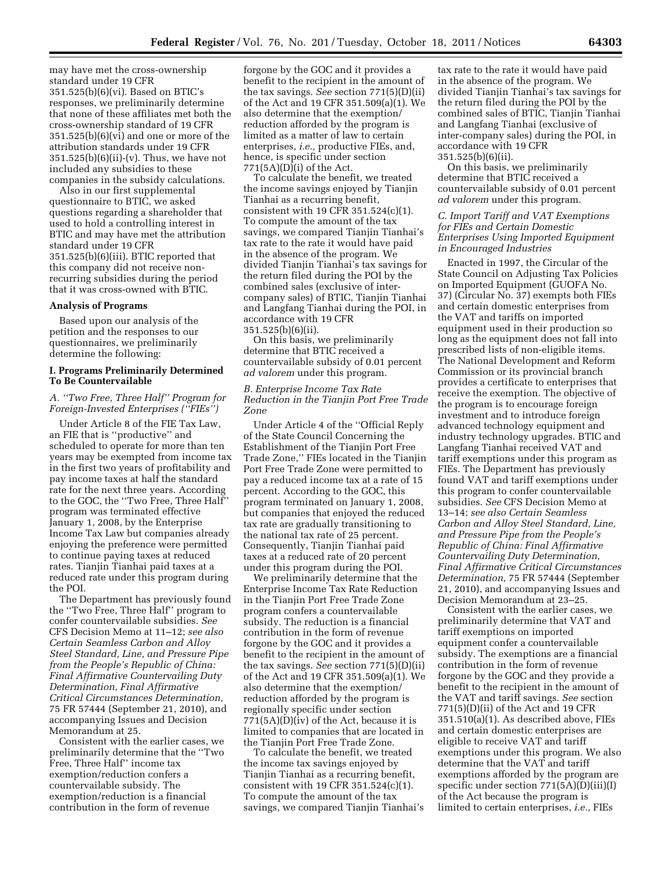may have met the cross-ownership standard under 19 CFR 351.525(b)(6)(vi). Based on BTIC's responses, we preliminarily determine that none of these affiliates met both the cross-ownership standard of 19 CFR 351.525(b)(6)(vi) and one or more of the attribution standards under 19 CFR 351.525(b)(6)(ii)-(v). Thus, we have not included any subsidies to these companies in the subsidy calculations.

Also in our first supplemental questionnaire to BTIC, we asked questions regarding a shareholder that used to hold a controlling interest in BTIC and may have met the attribution standard under 19 CFR 351.525(b)(6)(iii). BTIC reported that this company did not receive nonrecurring subsidies during the period that it was cross-owned with BTIC.

#### **Analysis of Programs**

Based upon our analysis of the petition and the responses to our questionnaires, we preliminarily determine the following:

#### **I. Programs Preliminarily Determined To Be Countervailable**

## *A. ''Two Free, Three Half'' Program for Foreign-Invested Enterprises (''FIEs'')*

Under Article 8 of the FIE Tax Law, an FIE that is ''productive'' and scheduled to operate for more than ten years may be exempted from income tax in the first two years of profitability and pay income taxes at half the standard rate for the next three years. According to the GOC, the ''Two Free, Three Half'' program was terminated effective January 1, 2008, by the Enterprise Income Tax Law but companies already enjoying the preference were permitted to continue paying taxes at reduced rates. Tianjin Tianhai paid taxes at a reduced rate under this program during the POI.

The Department has previously found the ''Two Free, Three Half'' program to confer countervailable subsidies. *See*  CFS Decision Memo at 11–12; *see also Certain Seamless Carbon and Alloy Steel Standard, Line, and Pressure Pipe from the People's Republic of China: Final Affirmative Countervailing Duty Determination, Final Affirmative Critical Circumstances Determination,*  75 FR 57444 (September 21, 2010), and accompanying Issues and Decision Memorandum at 25.

Consistent with the earlier cases, we preliminarily determine that the ''Two Free, Three Half'' income tax exemption/reduction confers a countervailable subsidy. The exemption/reduction is a financial contribution in the form of revenue

forgone by the GOC and it provides a benefit to the recipient in the amount of the tax savings. *See* section 771(5)(D)(ii) of the Act and 19 CFR 351.509(a)(1). We also determine that the exemption/ reduction afforded by the program is limited as a matter of law to certain enterprises, *i.e.,* productive FIEs, and, hence, is specific under section  $771(5A)(D)(i)$  of the Act.

To calculate the benefit, we treated the income savings enjoyed by Tianjin Tianhai as a recurring benefit, consistent with 19 CFR 351.524(c)(1). To compute the amount of the tax savings, we compared Tianjin Tianhai's tax rate to the rate it would have paid in the absence of the program. We divided Tianjin Tianhai's tax savings for the return filed during the POI by the combined sales (exclusive of intercompany sales) of BTIC, Tianjin Tianhai and Langfang Tianhai during the POI, in accordance with 19 CFR 351.525(b)(6)(ii).

On this basis, we preliminarily determine that BTIC received a countervailable subsidy of 0.01 percent *ad valorem* under this program.

#### *B. Enterprise Income Tax Rate Reduction in the Tianjin Port Free Trade Zone*

Under Article 4 of the ''Official Reply of the State Council Concerning the Establishment of the Tianjin Port Free Trade Zone,'' FIEs located in the Tianjin Port Free Trade Zone were permitted to pay a reduced income tax at a rate of 15 percent. According to the GOC, this program terminated on January 1, 2008, but companies that enjoyed the reduced tax rate are gradually transitioning to the national tax rate of 25 percent. Consequently, Tianjin Tianhai paid taxes at a reduced rate of 20 percent under this program during the POI.

We preliminarily determine that the Enterprise Income Tax Rate Reduction in the Tianjin Port Free Trade Zone program confers a countervailable subsidy. The reduction is a financial contribution in the form of revenue forgone by the GOC and it provides a benefit to the recipient in the amount of the tax savings. *See* section 771(5)(D)(ii) of the Act and 19 CFR 351.509(a)(1). We also determine that the exemption/ reduction afforded by the program is regionally specific under section 771(5A)(D)(iv) of the Act, because it is limited to companies that are located in the Tianjin Port Free Trade Zone.

To calculate the benefit, we treated the income tax savings enjoyed by Tianjin Tianhai as a recurring benefit, consistent with 19 CFR 351.524(c)(1). To compute the amount of the tax savings, we compared Tianjin Tianhai's

tax rate to the rate it would have paid in the absence of the program. We divided Tianjin Tianhai's tax savings for the return filed during the POI by the combined sales of BTIC, Tianjin Tianhai and Langfang Tianhai (exclusive of inter-company sales) during the POI, in accordance with 19 CFR 351.525(b)(6)(ii).

On this basis, we preliminarily determine that BTIC received a countervailable subsidy of 0.01 percent *ad valorem* under this program.

## *C. Import Tariff and VAT Exemptions for FIEs and Certain Domestic Enterprises Using Imported Equipment in Encouraged Industries*

Enacted in 1997, the Circular of the State Council on Adjusting Tax Policies on Imported Equipment (GUOFA No. 37) (Circular No. 37) exempts both FIEs and certain domestic enterprises from the VAT and tariffs on imported equipment used in their production so long as the equipment does not fall into prescribed lists of non-eligible items. The National Development and Reform Commission or its provincial branch provides a certificate to enterprises that receive the exemption. The objective of the program is to encourage foreign investment and to introduce foreign advanced technology equipment and industry technology upgrades. BTIC and Langfang Tianhai received VAT and tariff exemptions under this program as FIEs. The Department has previously found VAT and tariff exemptions under this program to confer countervailable subsidies. *See* CFS Decision Memo at 13–14; *see also Certain Seamless Carbon and Alloy Steel Standard, Line, and Pressure Pipe from the People's Republic of China: Final Affirmative Countervailing Duty Determination, Final Affirmative Critical Circumstances Determination,* 75 FR 57444 (September 21, 2010), and accompanying Issues and Decision Memorandum at 23–25.

Consistent with the earlier cases, we preliminarily determine that VAT and tariff exemptions on imported equipment confer a countervailable subsidy. The exemptions are a financial contribution in the form of revenue forgone by the GOC and they provide a benefit to the recipient in the amount of the VAT and tariff savings. *See* section 771(5)(D)(ii) of the Act and 19 CFR 351.510(a)(1). As described above, FIEs and certain domestic enterprises are eligible to receive VAT and tariff exemptions under this program. We also determine that the VAT and tariff exemptions afforded by the program are specific under section 771(5A)(D)(iii)(I) of the Act because the program is limited to certain enterprises, *i.e.,* FIEs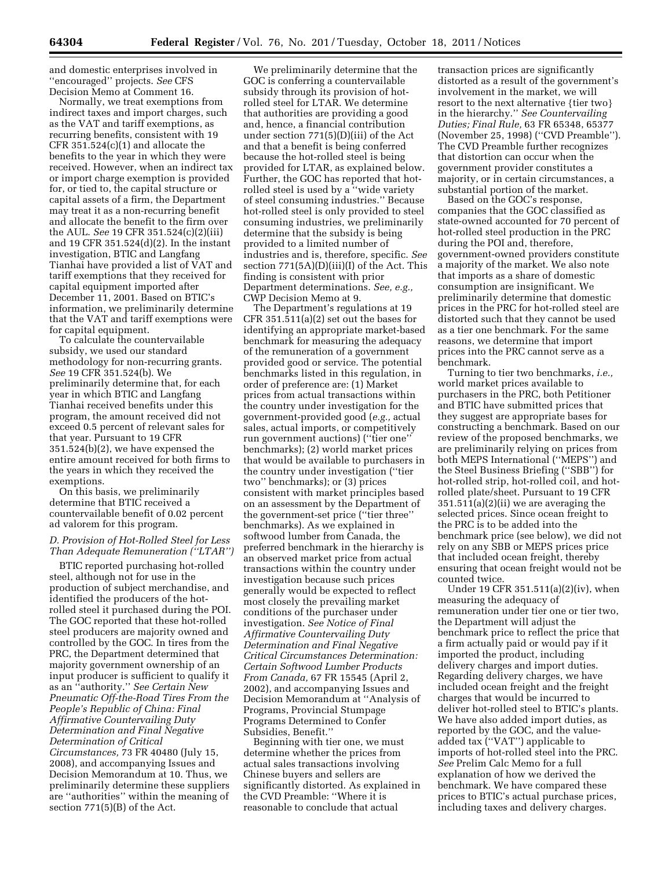and domestic enterprises involved in ''encouraged'' projects. *See* CFS Decision Memo at Comment 16.

Normally, we treat exemptions from indirect taxes and import charges, such as the VAT and tariff exemptions, as recurring benefits, consistent with 19 CFR  $351.524(c)(1)$  and allocate the benefits to the year in which they were received. However, when an indirect tax or import charge exemption is provided for, or tied to, the capital structure or capital assets of a firm, the Department may treat it as a non-recurring benefit and allocate the benefit to the firm over the AUL. *See* 19 CFR 351.524(c)(2)(iii) and 19 CFR 351.524(d)(2). In the instant investigation, BTIC and Langfang Tianhai have provided a list of VAT and tariff exemptions that they received for capital equipment imported after December 11, 2001. Based on BTIC's information, we preliminarily determine that the VAT and tariff exemptions were for capital equipment.

To calculate the countervailable subsidy, we used our standard methodology for non-recurring grants. *See* 19 CFR 351.524(b). We preliminarily determine that, for each year in which BTIC and Langfang Tianhai received benefits under this program, the amount received did not exceed 0.5 percent of relevant sales for that year. Pursuant to 19 CFR 351.524(b)(2), we have expensed the entire amount received for both firms to the years in which they received the exemptions.

On this basis, we preliminarily determine that BTIC received a countervailable benefit of 0.02 percent ad valorem for this program.

## *D. Provision of Hot-Rolled Steel for Less Than Adequate Remuneration (''LTAR'')*

BTIC reported purchasing hot-rolled steel, although not for use in the production of subject merchandise, and identified the producers of the hotrolled steel it purchased during the POI. The GOC reported that these hot-rolled steel producers are majority owned and controlled by the GOC. In tires from the PRC, the Department determined that majority government ownership of an input producer is sufficient to qualify it as an ''authority.'' *See Certain New Pneumatic Off-the-Road Tires From the People's Republic of China: Final Affirmative Countervailing Duty Determination and Final Negative Determination of Critical* 

*Circumstances,* 73 FR 40480 (July 15, 2008), and accompanying Issues and Decision Memorandum at 10. Thus, we preliminarily determine these suppliers are ''authorities'' within the meaning of section 771(5)(B) of the Act.

We preliminarily determine that the GOC is conferring a countervailable subsidy through its provision of hotrolled steel for LTAR. We determine that authorities are providing a good and, hence, a financial contribution under section 771(5)(D)(iii) of the Act and that a benefit is being conferred because the hot-rolled steel is being provided for LTAR, as explained below. Further, the GOC has reported that hotrolled steel is used by a ''wide variety of steel consuming industries.'' Because hot-rolled steel is only provided to steel consuming industries, we preliminarily determine that the subsidy is being provided to a limited number of industries and is, therefore, specific. *See*  section 771(5A)(D)(iii)(I) of the Act. This finding is consistent with prior Department determinations. *See, e.g.,*  CWP Decision Memo at 9.

The Department's regulations at 19 CFR 351.511(a)(2) set out the bases for identifying an appropriate market-based benchmark for measuring the adequacy of the remuneration of a government provided good or service. The potential benchmarks listed in this regulation, in order of preference are: (1) Market prices from actual transactions within the country under investigation for the government-provided good (*e.g.,* actual sales, actual imports, or competitively run government auctions) (''tier one'' benchmarks); (2) world market prices that would be available to purchasers in the country under investigation (''tier two'' benchmarks); or (3) prices consistent with market principles based on an assessment by the Department of the government-set price (''tier three'' benchmarks). As we explained in softwood lumber from Canada, the preferred benchmark in the hierarchy is an observed market price from actual transactions within the country under investigation because such prices generally would be expected to reflect most closely the prevailing market conditions of the purchaser under investigation. *See Notice of Final Affirmative Countervailing Duty Determination and Final Negative Critical Circumstances Determination: Certain Softwood Lumber Products From Canada,* 67 FR 15545 (April 2, 2002), and accompanying Issues and Decision Memorandum at ''Analysis of Programs, Provincial Stumpage Programs Determined to Confer Subsidies, Benefit.''

Beginning with tier one, we must determine whether the prices from actual sales transactions involving Chinese buyers and sellers are significantly distorted. As explained in the CVD Preamble: ''Where it is reasonable to conclude that actual

transaction prices are significantly distorted as a result of the government's involvement in the market, we will resort to the next alternative {tier two} in the hierarchy.'' *See Countervailing Duties; Final Rule,* 63 FR 65348, 65377 (November 25, 1998) (''CVD Preamble''). The CVD Preamble further recognizes that distortion can occur when the government provider constitutes a majority, or in certain circumstances, a substantial portion of the market.

Based on the GOC's response, companies that the GOC classified as state-owned accounted for 70 percent of hot-rolled steel production in the PRC during the POI and, therefore, government-owned providers constitute a majority of the market. We also note that imports as a share of domestic consumption are insignificant. We preliminarily determine that domestic prices in the PRC for hot-rolled steel are distorted such that they cannot be used as a tier one benchmark. For the same reasons, we determine that import prices into the PRC cannot serve as a benchmark.

Turning to tier two benchmarks, *i.e.,*  world market prices available to purchasers in the PRC, both Petitioner and BTIC have submitted prices that they suggest are appropriate bases for constructing a benchmark. Based on our review of the proposed benchmarks, we are preliminarily relying on prices from both MEPS International (''MEPS'') and the Steel Business Briefing (''SBB'') for hot-rolled strip, hot-rolled coil, and hotrolled plate/sheet. Pursuant to 19 CFR 351.511(a)(2)(ii) we are averaging the selected prices. Since ocean freight to the PRC is to be added into the benchmark price (see below), we did not rely on any SBB or MEPS prices price that included ocean freight, thereby ensuring that ocean freight would not be counted twice.

Under 19 CFR 351.511(a)(2)(iv), when measuring the adequacy of remuneration under tier one or tier two, the Department will adjust the benchmark price to reflect the price that a firm actually paid or would pay if it imported the product, including delivery charges and import duties. Regarding delivery charges, we have included ocean freight and the freight charges that would be incurred to deliver hot-rolled steel to BTIC's plants. We have also added import duties, as reported by the GOC, and the valueadded tax (''VAT'') applicable to imports of hot-rolled steel into the PRC. *See* Prelim Calc Memo for a full explanation of how we derived the benchmark. We have compared these prices to BTIC's actual purchase prices, including taxes and delivery charges.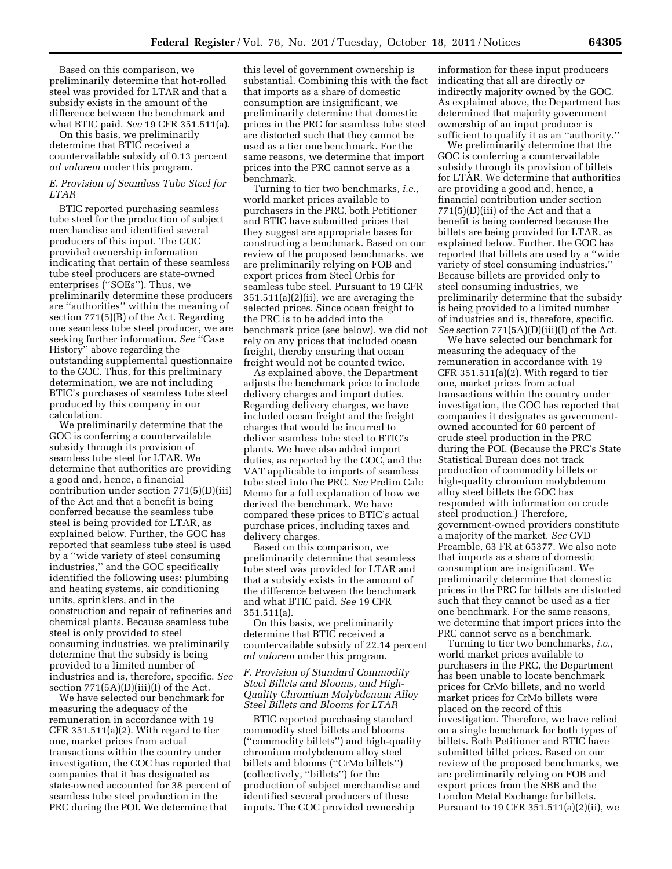Based on this comparison, we preliminarily determine that hot-rolled steel was provided for LTAR and that a subsidy exists in the amount of the difference between the benchmark and what BTIC paid. *See* 19 CFR 351.511(a).

On this basis, we preliminarily determine that BTIC received a countervailable subsidy of 0.13 percent *ad valorem* under this program.

#### *E. Provision of Seamless Tube Steel for LTAR*

BTIC reported purchasing seamless tube steel for the production of subject merchandise and identified several producers of this input. The GOC provided ownership information indicating that certain of these seamless tube steel producers are state-owned enterprises (''SOEs''). Thus, we preliminarily determine these producers are ''authorities'' within the meaning of section 771(5)(B) of the Act. Regarding one seamless tube steel producer, we are seeking further information. *See* ''Case History'' above regarding the outstanding supplemental questionnaire to the GOC. Thus, for this preliminary determination, we are not including BTIC's purchases of seamless tube steel produced by this company in our calculation.

We preliminarily determine that the GOC is conferring a countervailable subsidy through its provision of seamless tube steel for LTAR. We determine that authorities are providing a good and, hence, a financial contribution under section 771(5)(D)(iii) of the Act and that a benefit is being conferred because the seamless tube steel is being provided for LTAR, as explained below. Further, the GOC has reported that seamless tube steel is used by a ''wide variety of steel consuming industries,'' and the GOC specifically identified the following uses: plumbing and heating systems, air conditioning units, sprinklers, and in the construction and repair of refineries and chemical plants. Because seamless tube steel is only provided to steel consuming industries, we preliminarily determine that the subsidy is being provided to a limited number of industries and is, therefore, specific. *See*  section 771(5A)(D)(iii)(I) of the Act.

We have selected our benchmark for measuring the adequacy of the remuneration in accordance with 19 CFR 351.511(a)(2). With regard to tier one, market prices from actual transactions within the country under investigation, the GOC has reported that companies that it has designated as state-owned accounted for 38 percent of seamless tube steel production in the PRC during the POI. We determine that

this level of government ownership is substantial. Combining this with the fact that imports as a share of domestic consumption are insignificant, we preliminarily determine that domestic prices in the PRC for seamless tube steel are distorted such that they cannot be used as a tier one benchmark. For the same reasons, we determine that import prices into the PRC cannot serve as a benchmark.

Turning to tier two benchmarks, *i.e.,*  world market prices available to purchasers in the PRC, both Petitioner and BTIC have submitted prices that they suggest are appropriate bases for constructing a benchmark. Based on our review of the proposed benchmarks, we are preliminarily relying on FOB and export prices from Steel Orbis for seamless tube steel. Pursuant to 19 CFR 351.511(a)(2)(ii), we are averaging the selected prices. Since ocean freight to the PRC is to be added into the benchmark price (see below), we did not rely on any prices that included ocean freight, thereby ensuring that ocean freight would not be counted twice.

As explained above, the Department adjusts the benchmark price to include delivery charges and import duties. Regarding delivery charges, we have included ocean freight and the freight charges that would be incurred to deliver seamless tube steel to BTIC's plants. We have also added import duties, as reported by the GOC, and the VAT applicable to imports of seamless tube steel into the PRC. *See* Prelim Calc Memo for a full explanation of how we derived the benchmark. We have compared these prices to BTIC's actual purchase prices, including taxes and delivery charges.

Based on this comparison, we preliminarily determine that seamless tube steel was provided for LTAR and that a subsidy exists in the amount of the difference between the benchmark and what BTIC paid. *See* 19 CFR 351.511(a).

On this basis, we preliminarily determine that BTIC received a countervailable subsidy of 22.14 percent *ad valorem* under this program.

## *F. Provision of Standard Commodity Steel Billets and Blooms, and High-Quality Chromium Molybdenum Alloy Steel Billets and Blooms for LTAR*

BTIC reported purchasing standard commodity steel billets and blooms (''commodity billets'') and high-quality chromium molybdenum alloy steel billets and blooms (''CrMo billets'') (collectively, ''billets'') for the production of subject merchandise and identified several producers of these inputs. The GOC provided ownership

information for these input producers indicating that all are directly or indirectly majority owned by the GOC. As explained above, the Department has determined that majority government ownership of an input producer is sufficient to qualify it as an ''authority.''

We preliminarily determine that the GOC is conferring a countervailable subsidy through its provision of billets for LTAR. We determine that authorities are providing a good and, hence, a financial contribution under section  $771(5)(D)(iii)$  of the Act and that a benefit is being conferred because the billets are being provided for LTAR, as explained below. Further, the GOC has reported that billets are used by a ''wide variety of steel consuming industries.'' Because billets are provided only to steel consuming industries, we preliminarily determine that the subsidy is being provided to a limited number of industries and is, therefore, specific. *See* section 771(5A)(D)(iii)(I) of the Act.

We have selected our benchmark for measuring the adequacy of the remuneration in accordance with 19 CFR  $351.511(a)(2)$ . With regard to tier one, market prices from actual transactions within the country under investigation, the GOC has reported that companies it designates as governmentowned accounted for 60 percent of crude steel production in the PRC during the POI. (Because the PRC's State Statistical Bureau does not track production of commodity billets or high-quality chromium molybdenum alloy steel billets the GOC has responded with information on crude steel production.) Therefore, government-owned providers constitute a majority of the market. *See* CVD Preamble, 63 FR at 65377. We also note that imports as a share of domestic consumption are insignificant. We preliminarily determine that domestic prices in the PRC for billets are distorted such that they cannot be used as a tier one benchmark. For the same reasons, we determine that import prices into the PRC cannot serve as a benchmark.

Turning to tier two benchmarks, *i.e.,*  world market prices available to purchasers in the PRC, the Department has been unable to locate benchmark prices for CrMo billets, and no world market prices for CrMo billets were placed on the record of this investigation. Therefore, we have relied on a single benchmark for both types of billets. Both Petitioner and BTIC have submitted billet prices. Based on our review of the proposed benchmarks, we are preliminarily relying on FOB and export prices from the SBB and the London Metal Exchange for billets. Pursuant to 19 CFR 351.511(a)(2)(ii), we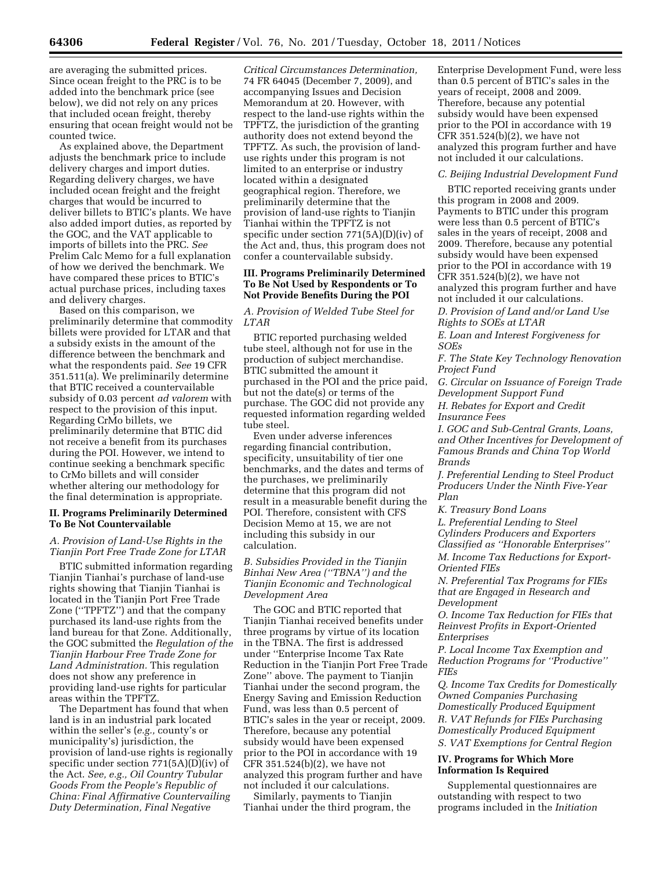are averaging the submitted prices. Since ocean freight to the PRC is to be added into the benchmark price (see below), we did not rely on any prices that included ocean freight, thereby ensuring that ocean freight would not be counted twice.

As explained above, the Department adjusts the benchmark price to include delivery charges and import duties. Regarding delivery charges, we have included ocean freight and the freight charges that would be incurred to deliver billets to BTIC's plants. We have also added import duties, as reported by the GOC, and the VAT applicable to imports of billets into the PRC. *See*  Prelim Calc Memo for a full explanation of how we derived the benchmark. We have compared these prices to BTIC's actual purchase prices, including taxes and delivery charges.

Based on this comparison, we preliminarily determine that commodity billets were provided for LTAR and that a subsidy exists in the amount of the difference between the benchmark and what the respondents paid. *See* 19 CFR 351.511(a). We preliminarily determine that BTIC received a countervailable subsidy of 0.03 percent *ad valorem* with respect to the provision of this input. Regarding CrMo billets, we preliminarily determine that BTIC did not receive a benefit from its purchases during the POI. However, we intend to continue seeking a benchmark specific to CrMo billets and will consider whether altering our methodology for the final determination is appropriate.

#### **II. Programs Preliminarily Determined To Be Not Countervailable**

## *A. Provision of Land-Use Rights in the Tianjin Port Free Trade Zone for LTAR*

BTIC submitted information regarding Tianjin Tianhai's purchase of land-use rights showing that Tianjin Tianhai is located in the Tianjin Port Free Trade Zone (''TPFTZ'') and that the company purchased its land-use rights from the land bureau for that Zone. Additionally, the GOC submitted the *Regulation of the Tianjin Harbour Free Trade Zone for Land Administration.* This regulation does not show any preference in providing land-use rights for particular areas within the TPFTZ.

The Department has found that when land is in an industrial park located within the seller's (*e.g.,* county's or municipality's) jurisdiction, the provision of land-use rights is regionally specific under section 771(5A)(D)(iv) of the Act. *See, e.g., Oil Country Tubular Goods From the People's Republic of China: Final Affirmative Countervailing Duty Determination, Final Negative* 

*Critical Circumstances Determination,*  74 FR 64045 (December 7, 2009), and accompanying Issues and Decision Memorandum at 20. However, with respect to the land-use rights within the TPFTZ, the jurisdiction of the granting authority does not extend beyond the TPFTZ. As such, the provision of landuse rights under this program is not limited to an enterprise or industry located within a designated geographical region. Therefore, we preliminarily determine that the provision of land-use rights to Tianjin Tianhai within the TPFTZ is not specific under section 771(5A)(D)(iv) of the Act and, thus, this program does not confer a countervailable subsidy.

### **III. Programs Preliminarily Determined To Be Not Used by Respondents or To Not Provide Benefits During the POI**

## *A. Provision of Welded Tube Steel for LTAR*

BTIC reported purchasing welded tube steel, although not for use in the production of subject merchandise. BTIC submitted the amount it purchased in the POI and the price paid, but not the date(s) or terms of the purchase. The GOC did not provide any requested information regarding welded tube steel.

Even under adverse inferences regarding financial contribution, specificity, unsuitability of tier one benchmarks, and the dates and terms of the purchases, we preliminarily determine that this program did not result in a measurable benefit during the POI. Therefore, consistent with CFS Decision Memo at 15, we are not including this subsidy in our calculation.

## *B. Subsidies Provided in the Tianjin Binhai New Area (''TBNA'') and the Tianjin Economic and Technological Development Area*

The GOC and BTIC reported that Tianjin Tianhai received benefits under three programs by virtue of its location in the TBNA. The first is addressed under ''Enterprise Income Tax Rate Reduction in the Tianjin Port Free Trade Zone'' above. The payment to Tianjin Tianhai under the second program, the Energy Saving and Emission Reduction Fund, was less than 0.5 percent of BTIC's sales in the year or receipt, 2009. Therefore, because any potential subsidy would have been expensed prior to the POI in accordance with 19 CFR 351.524(b)(2), we have not analyzed this program further and have not included it our calculations.

Similarly, payments to Tianjin Tianhai under the third program, the Enterprise Development Fund, were less than 0.5 percent of BTIC's sales in the years of receipt, 2008 and 2009. Therefore, because any potential subsidy would have been expensed prior to the POI in accordance with 19 CFR 351.524(b)(2), we have not analyzed this program further and have not included it our calculations.

#### *C. Beijing Industrial Development Fund*

BTIC reported receiving grants under this program in 2008 and 2009. Payments to BTIC under this program were less than 0.5 percent of BTIC's sales in the years of receipt, 2008 and 2009. Therefore, because any potential subsidy would have been expensed prior to the POI in accordance with 19 CFR 351.524(b)(2), we have not analyzed this program further and have not included it our calculations.

*D. Provision of Land and/or Land Use Rights to SOEs at LTAR* 

*E. Loan and Interest Forgiveness for SOEs* 

*F. The State Key Technology Renovation Project Fund* 

*G. Circular on Issuance of Foreign Trade Development Support Fund* 

*H. Rebates for Export and Credit Insurance Fees* 

*I. GOC and Sub-Central Grants, Loans, and Other Incentives for Development of Famous Brands and China Top World Brands* 

*J. Preferential Lending to Steel Product Producers Under the Ninth Five-Year Plan* 

*K. Treasury Bond Loans* 

*L. Preferential Lending to Steel Cylinders Producers and Exporters Classified as ''Honorable Enterprises''* 

*M. Income Tax Reductions for Export-Oriented FIEs* 

*N. Preferential Tax Programs for FIEs that are Engaged in Research and Development* 

*O. Income Tax Reduction for FIEs that Reinvest Profits in Export-Oriented Enterprises* 

*P. Local Income Tax Exemption and Reduction Programs for ''Productive'' FIEs* 

*Q. Income Tax Credits for Domestically Owned Companies Purchasing Domestically Produced Equipment R. VAT Refunds for FIEs Purchasing Domestically Produced Equipment S. VAT Exemptions for Central Region* 

## **IV. Programs for Which More Information Is Required**

Supplemental questionnaires are outstanding with respect to two programs included in the *Initiation*